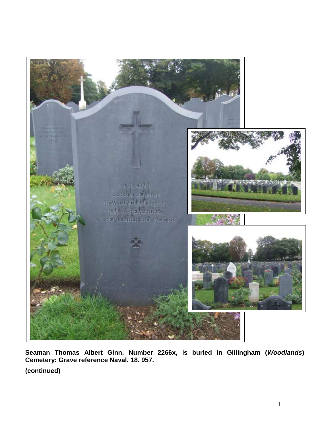

**Seaman Thomas Albert Ginn, Number 2266x, is buried in Gillingham (***Woodlands***) Cemetery: Grave reference Naval. 18. 957.**

**(continued)**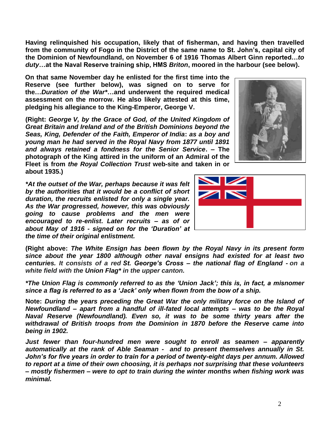**Having relinquished his occupation, likely that of fisherman, and having then travelled from the community of Fogo in the District of the same name to St. John's, capital city of the Dominion of Newfoundland, on November 6 of 1916 Thomas Albert Ginn reported…***to duty***…at the Naval Reserve training ship, HMS** *Briton***, moored in the harbour (see below).**

**On that same November day he enlisted for the first time into the Reserve (see further below), was signed on to serve for the…***Duration of the War\****…and underwent the required medical assessment on the morrow. He also likely attested at this time, pledging his allegiance to the King-Emperor, George V.**

**(Right:** *George V, by the Grace of God, of the United Kingdom of Great Britain and Ireland and of the British Dominions beyond the Seas, King, Defender of the Faith, Emperor of India***:** *as a boy and young man he had served in the Royal Navy from 1877 until 1891 and always retained a fondness for the Senior Service***. – The photograph of the King attired in the uniform of an Admiral of the Fleet is from** *the Royal Collection Trust* **web-site and taken in or about 1935.)**

*\*At the outset of the War, perhaps because it was felt by the authorities that it would be a conflict of short duration, the recruits enlisted for only a single year. As the War progressed, however, this was obviously going to cause problems and the men were encouraged to re-enlist***.** *Later recruits – as of or about May of 1916 - signed on for the 'Duration' at the time of their original enlistment.*

**(Right above:** *The White Ensign has been flown by the Royal Navy in its present form since about the year 1800 although other naval ensigns had existed for at least two centuries. It consists of a red St. George's Cross – the national flag of England - on a white field with the Union Flag\* in the upper canton.*

*\*The Union Flag is commonly referred to as the 'Union Jack'; this is, in fact, a misnomer since a flag is referred to as a 'Jack' only when flown from the bow of a ship.* 

**Note:** *During the years preceding the Great War the only military force on the Island of Newfoundland – apart from a handful of ill-fated local attempts – was to be the Royal Naval Reserve (Newfoundland). Even so, it was to be some thirty years after the withdrawal of British troops from the Dominion in 1870 before the Reserve came into being in 1902.* 

*Just fewer than four-hundred men were sought to enroll as seamen – apparently automatically at the rank of Able Seaman - and to present themselves annually in St. John's for five years in order to train for a period of twenty-eight days per annum. Allowed to report at a time of their own choosing, it is perhaps not surprising that these volunteers – mostly fishermen – were to opt to train during the winter months when fishing work was minimal.*



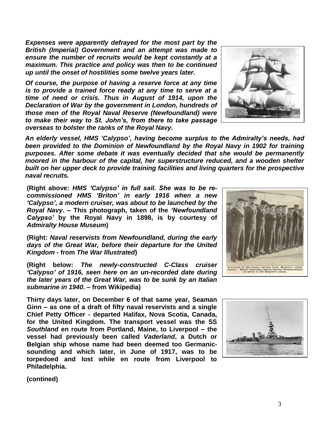**(contined)**

*Expenses were apparently defrayed for the most part by the British (Imperial) Government and an attempt was made to ensure the number of recruits would be kept constantly at a maximum. This practice and policy was then to be continued up until the onset of hostilities some twelve years later.*

*Of course, the purpose of having a reserve force at any time is to provide a trained force ready at any time to serve at a time of need or crisis. Thus in August of 1914, upon the Declaration of War by the government in London, hundreds of those men of the Royal Naval Reserve (Newfoundland) were to make their way to St. John's, from there to take passage overseas to bolster the ranks of the Royal Navy.*

*An elderly vessel, HMS 'Calypso', having become surplus to the Admiralty's needs, had been provided to the Dominion of Newfoundland by the Royal Navy in 1902 for training purposes. After some debate it was eventually decided that she would be permanently moored in the harbour of the capital, her superstructure reduced, and a wooden shelter built on her upper deck to provide training facilities and living quarters for the prospective naval recruits.* 

**(Right above:** *HMS 'Calypso' in full sail. She was to be recommissioned HMS 'Briton' in early 1916 when a new 'Calypso', a modern cruiser, was about to be launched by the Royal Navy***. – This photograph, taken of the** *'Newfoundland Calypso'* **by the Royal Navy in 1898, is by courtesy of**  *Admiralty House Museum***)**

**(Right:** *Naval reservists from Newfoundland, during the early days of the Great War, before their departure for the United Kingdom* **- from** *The War Illustrated***)**

**(Right below:** *The newly-constructed C-Class cruiser 'Calypso' of 1916, seen here on an un-recorded date during the later years of the Great War, was to be sunk by an Italian submarine in 1940***. – from Wikipedia)**

**Thirty days later, on December 6 of that same year, Seaman Ginn – as one of a draft of fifty naval reservists and a single Chief Petty Officer - departed Halifax, Nova Scotia, Canada, for the United Kingdom. The transport vessel was the SS**  *Southland* **en route from Portland, Maine, to Liverpool – the vessel had previously been called** *Vaderland***, a Dutch or Belgian ship whose name had been deemed too Germanicsounding and which later, in June of 1917, was to be torpedoed and lost while en route from Liverpool to Philadelphia.**







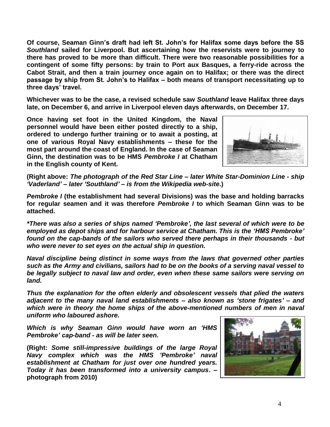**Of course, Seaman Ginn's draft had left St. John's for Halifax some days before the SS**  *Southland* **sailed for Liverpool. But ascertaining how the reservists were to journey to there has proved to be more than difficult. There were two reasonable possibilities for a contingent of some fifty persons: by train to Port aux Basques, a ferry-ride across the Cabot Strait, and then a train journey once again on to Halifax; or there was the direct passage by ship from St. John's to Halifax – both means of transport necessitating up to three days' travel.**

**Whichever was to be the case, a revised schedule saw** *Southland* **leave Halifax three days late, on December 6, and arrive in Liverpool eleven days afterwards, on December 17.**

**Once having set foot in the United Kingdom, the Naval personnel would have been either posted directly to a ship, ordered to undergo further training or to await a posting, at one of various Royal Navy establishments – these for the most part around the coast of England. In the case of Seaman Ginn, the destination was to be HMS** *Pembroke I* **at Chatham in the English county of Kent.**



**(Right above:** *The photograph of the Red Star Line – later White Star-Dominion Line - ship 'Vaderland' – later 'Southland' – is from the Wikipedia web-site***.)**

*Pembroke I* **(the establishment had several Divisions) was the base and holding barracks for regular seamen and it was therefore** *Pembroke I* **to which Seaman Ginn was to be attached.**

*\*There was also a series of ships named 'Pembroke', the last several of which were to be employed as depot ships and for harbour service at Chatham. This is the 'HMS Pembroke' found on the cap-bands of the sailors who served there perhaps in their thousands - but who were never to set eyes on the actual ship in question.*

*Naval discipline being distinct in some ways from the laws that governed other parties such as the Army and civilians, sailors had to be on the books of a serving naval vessel to be legally subject to naval law and order, even when these same sailors were serving on land.*

*Thus the explanation for the often elderly and obsolescent vessels that plied the waters adjacent to the many naval land establishments – also known as 'stone frigates' – and which were in theory the home ships of the above-mentioned numbers of men in naval uniform who laboured ashore.*

*Which is why Seaman Ginn would have worn an 'HMS Pembroke' cap-band - as will be later seen.*

**(Right:** *Some still-impressive buildings of the large Royal Navy complex which was the HMS 'Pembroke' naval establishment at Chatham for just over one hundred years. Today it has been transformed into a university campus***. – photograph from 2010)**

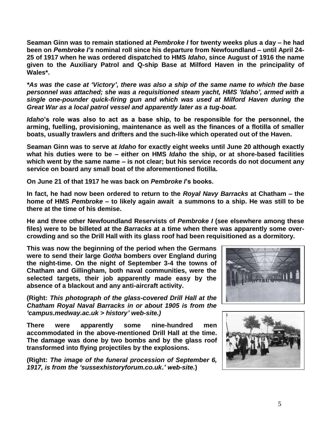**Seaman Ginn was to remain stationed at** *Pembroke I* **for twenty weeks plus a day – he had been on** *Pembroke I's* **nominal roll since his departure from Newfoundland – until April 24- 25 of 1917 when he was ordered dispatched to HMS** *Idaho***, since August of 1916 the name given to the Auxiliary Patrol and Q-ship Base at Milford Haven in the principality of Wales\*.**

*\*As was the case at 'Victory', there was also a ship of the same name to which the base personnel was attached; she was a requisitioned steam yacht, HMS 'Idaho', armed with a single one-pounder quick-firing gun and which was used at Milford Haven during the Great War as a local patrol vessel and apparently later as a tug-boat.*

*Idaho***'s role was also to act as a base ship, to be responsible for the personnel, the arming, fuelling, provisioning, maintenance as well as the finances of a flotilla of smaller boats, usually trawlers and drifters and the such-like which operated out of the Haven.** 

**Seaman Ginn was to serve at** *Idaho* **for exactly eight weeks until June 20 although exactly what his duties were to be – either on HMS** *Idaho* **the ship, or at shore-based facilities which went by the same name – is not clear; but his service records do not document any service on board any small boat of the aforementioned flotilla.**

**On June 21 of that 1917 he was back on** *Pembroke I***'s books.**

**In fact, he had now been ordered to return to the** *Royal Navy Barracks* **at Chatham – the home of HMS** *Pembroke* **– to likely again await a summons to a ship. He was still to be there at the time of his demise.** 

**He and three other Newfoundland Reservists of** *Pembroke I* **(see elsewhere among these files) were to be billeted at the** *Barracks* **at a time when there was apparently some overcrowding and so the Drill Hall with its glass roof had been requisitioned as a dormitory.**

**This was now the beginning of the period when the Germans were to send their large** *Gotha* **bombers over England during the night-time. On the night of September 3-4 the towns of Chatham and Gillingham, both naval communities, were the selected targets, their job apparently made easy by the absence of a blackout and any anti-aircraft activity.**

**(Right:** *This photograph of the glass-covered Drill Hall at the Chatham Royal Naval Barracks in or about 1905 is from the 'campus.medway.ac.uk > history' web-site.)*

**There were apparently some nine-hundred men accommodated in the above-mentioned Drill Hall at the time. The damage was done by two bombs and by the glass roof transformed into flying projectiles by the explosions.**

**(Right:** *The image of the funeral procession of September 6, 1917, is from the 'sussexhistoryforum.co.uk***.***' web-site.***)**